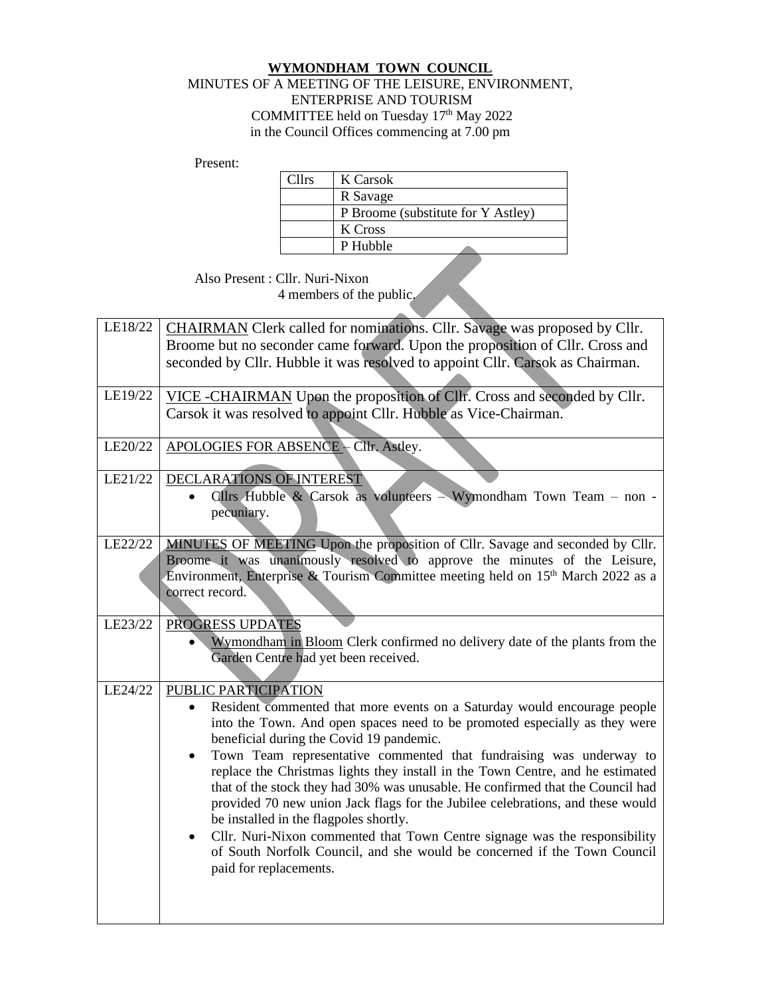## **WYMONDHAM TOWN COUNCIL** MINUTES OF A MEETING OF THE LEISURE, ENVIRONMENT, ENTERPRISE AND TOURISM COMMITTEE held on Tuesday 17<sup>th</sup> May 2022 in the Council Offices commencing at 7.00 pm

Present:

| <b>Cllrs</b> | K Carsok                           |
|--------------|------------------------------------|
|              | R Savage                           |
|              | P Broome (substitute for Y Astley) |
|              | K Cross                            |
|              | P Hubble                           |
|              |                                    |

Also Present : Cllr. Nuri-Nixon 4 members of the public.

| LE18/22 | CHAIRMAN Clerk called for nominations. Cllr. Savage was proposed by Cllr.                                          |
|---------|--------------------------------------------------------------------------------------------------------------------|
|         | Broome but no seconder came forward. Upon the proposition of Cllr. Cross and                                       |
|         | seconded by Cllr. Hubble it was resolved to appoint Cllr. Carsok as Chairman.                                      |
|         |                                                                                                                    |
| LE19/22 | VICE-CHAIRMAN Upon the proposition of Cllr. Cross and seconded by Cllr.                                            |
|         | Carsok it was resolved to appoint Cllr. Hubble as Vice-Chairman.                                                   |
|         |                                                                                                                    |
| LE20/22 | APOLOGIES FOR ABSENCE - Cllr. Astley.                                                                              |
|         |                                                                                                                    |
| LE21/22 | DECLARATIONS OF INTEREST                                                                                           |
|         | Cllrs Hubble & Carsok as volunteers - Wymondham Town Team - non -                                                  |
|         | pecuniary.                                                                                                         |
|         |                                                                                                                    |
| LE22/22 | MINUTES OF MEETING Upon the proposition of Cllr. Savage and seconded by Cllr.                                      |
|         | Broome it was unanimously resolved to approve the minutes of the Leisure,                                          |
|         | Environment, Enterprise & Tourism Committee meeting held on 15 <sup>th</sup> March 2022 as a                       |
|         | correct record.                                                                                                    |
| LE23/22 | PROGRESS UPDATES                                                                                                   |
|         |                                                                                                                    |
|         | Wymondham in Bloom Clerk confirmed no delivery date of the plants from the<br>Garden Centre had yet been received. |
|         |                                                                                                                    |
| LE24/22 | PUBLIC PARTICIPATION                                                                                               |
|         | Resident commented that more events on a Saturday would encourage people<br>$\bullet$                              |
|         | into the Town. And open spaces need to be promoted especially as they were                                         |
|         | beneficial during the Covid 19 pandemic.                                                                           |
|         | Town Team representative commented that fundraising was underway to<br>$\bullet$                                   |
|         | replace the Christmas lights they install in the Town Centre, and he estimated                                     |
|         | that of the stock they had 30% was unusable. He confirmed that the Council had                                     |
|         | provided 70 new union Jack flags for the Jubilee celebrations, and these would                                     |
|         | be installed in the flagpoles shortly.                                                                             |
|         | Cllr. Nuri-Nixon commented that Town Centre signage was the responsibility<br>$\bullet$                            |
|         | of South Norfolk Council, and she would be concerned if the Town Council                                           |
|         | paid for replacements.                                                                                             |
|         |                                                                                                                    |
|         |                                                                                                                    |
|         |                                                                                                                    |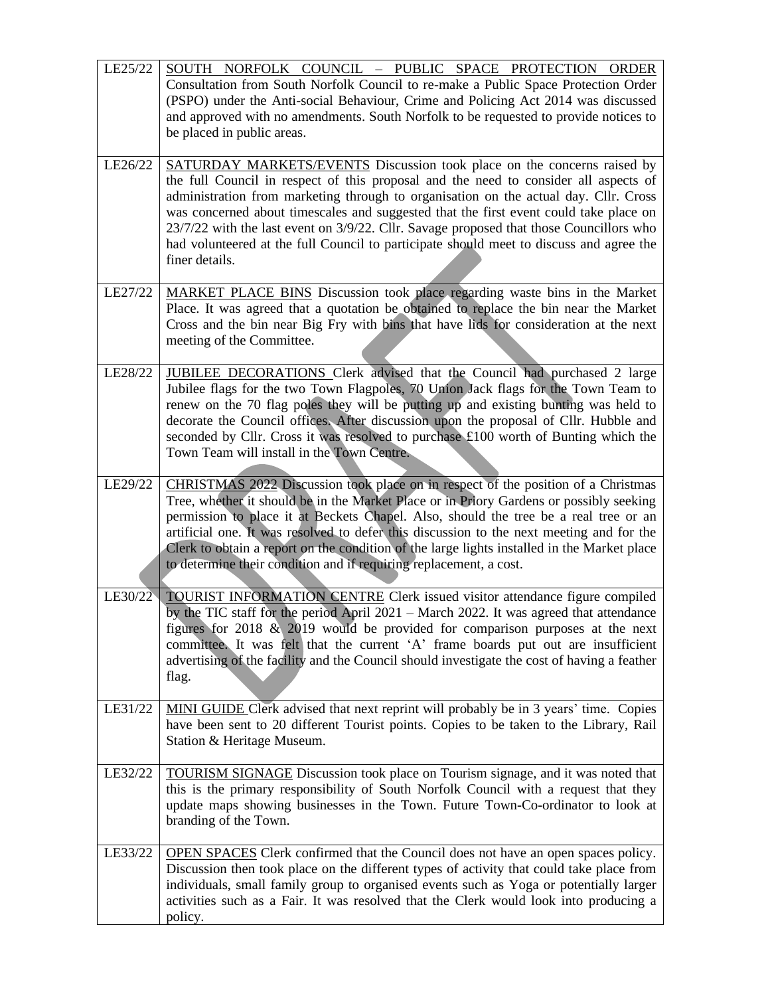| LE25/22 | SOUTH NORFOLK COUNCIL - PUBLIC SPACE PROTECTION ORDER                                                                                                                                                                                                                                                                                                                                                                                                                                                                                                    |
|---------|----------------------------------------------------------------------------------------------------------------------------------------------------------------------------------------------------------------------------------------------------------------------------------------------------------------------------------------------------------------------------------------------------------------------------------------------------------------------------------------------------------------------------------------------------------|
|         | Consultation from South Norfolk Council to re-make a Public Space Protection Order<br>(PSPO) under the Anti-social Behaviour, Crime and Policing Act 2014 was discussed<br>and approved with no amendments. South Norfolk to be requested to provide notices to<br>be placed in public areas.                                                                                                                                                                                                                                                            |
| LE26/22 | SATURDAY MARKETS/EVENTS Discussion took place on the concerns raised by<br>the full Council in respect of this proposal and the need to consider all aspects of<br>administration from marketing through to organisation on the actual day. Cllr. Cross<br>was concerned about timescales and suggested that the first event could take place on<br>23/7/22 with the last event on 3/9/22. Cllr. Savage proposed that those Councillors who<br>had volunteered at the full Council to participate should meet to discuss and agree the<br>finer details. |
| LE27/22 | MARKET PLACE BINS Discussion took place regarding waste bins in the Market<br>Place. It was agreed that a quotation be obtained to replace the bin near the Market<br>Cross and the bin near Big Fry with bins that have lids for consideration at the next<br>meeting of the Committee.                                                                                                                                                                                                                                                                 |
| LE28/22 | JUBILEE DECORATIONS Clerk advised that the Council had purchased 2 large<br>Jubilee flags for the two Town Flagpoles, 70 Union Jack flags for the Town Team to<br>renew on the 70 flag poles they will be putting up and existing bunting was held to<br>decorate the Council offices. After discussion upon the proposal of Cllr. Hubble and<br>seconded by Cllr. Cross it was resolved to purchase £100 worth of Bunting which the<br>Town Team will install in the Town Centre.                                                                       |
| LE29/22 | CHRISTMAS 2022 Discussion took place on in respect of the position of a Christmas<br>Tree, whether it should be in the Market Place or in Priory Gardens or possibly seeking<br>permission to place it at Beckets Chapel. Also, should the tree be a real tree or an<br>artificial one. It was resolved to defer this discussion to the next meeting and for the<br>Clerk to obtain a report on the condition of the large lights installed in the Market place<br>to determine their condition and if requiring replacement, a cost.                    |
| LE30/22 | <b>TOURIST INFORMATION CENTRE Clerk issued visitor attendance figure compiled</b><br>by the TIC staff for the period April 2021 – March 2022. It was agreed that attendance<br>figures for 2018 $\&$ 2019 would be provided for comparison purposes at the next<br>committee. It was felt that the current 'A' frame boards put out are insufficient<br>advertising of the facility and the Council should investigate the cost of having a feather<br>flag.                                                                                             |
| LE31/22 | MINI GUIDE Clerk advised that next reprint will probably be in 3 years' time. Copies<br>have been sent to 20 different Tourist points. Copies to be taken to the Library, Rail<br>Station & Heritage Museum.                                                                                                                                                                                                                                                                                                                                             |
| LE32/22 | <b>TOURISM SIGNAGE</b> Discussion took place on Tourism signage, and it was noted that<br>this is the primary responsibility of South Norfolk Council with a request that they<br>update maps showing businesses in the Town. Future Town-Co-ordinator to look at<br>branding of the Town.                                                                                                                                                                                                                                                               |
| LE33/22 | OPEN SPACES Clerk confirmed that the Council does not have an open spaces policy.<br>Discussion then took place on the different types of activity that could take place from<br>individuals, small family group to organised events such as Yoga or potentially larger<br>activities such as a Fair. It was resolved that the Clerk would look into producing a<br>policy.                                                                                                                                                                              |